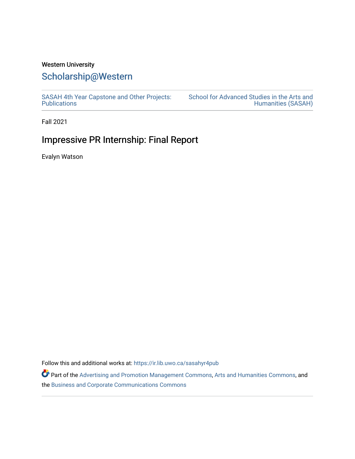### Western University

## [Scholarship@Western](https://ir.lib.uwo.ca/)

[SASAH 4th Year Capstone and Other Projects:](https://ir.lib.uwo.ca/sasahyr4pub)  **Publications** 

[School for Advanced Studies in the Arts and](https://ir.lib.uwo.ca/sasah)  [Humanities \(SASAH\)](https://ir.lib.uwo.ca/sasah) 

Fall 2021

# Impressive PR Internship: Final Report

Evalyn Watson

Follow this and additional works at: [https://ir.lib.uwo.ca/sasahyr4pub](https://ir.lib.uwo.ca/sasahyr4pub?utm_source=ir.lib.uwo.ca%2Fsasahyr4pub%2F43&utm_medium=PDF&utm_campaign=PDFCoverPages) 

Part of the [Advertising and Promotion Management Commons,](http://network.bepress.com/hgg/discipline/626?utm_source=ir.lib.uwo.ca%2Fsasahyr4pub%2F43&utm_medium=PDF&utm_campaign=PDFCoverPages) [Arts and Humanities Commons,](http://network.bepress.com/hgg/discipline/438?utm_source=ir.lib.uwo.ca%2Fsasahyr4pub%2F43&utm_medium=PDF&utm_campaign=PDFCoverPages) and the [Business and Corporate Communications Commons](http://network.bepress.com/hgg/discipline/627?utm_source=ir.lib.uwo.ca%2Fsasahyr4pub%2F43&utm_medium=PDF&utm_campaign=PDFCoverPages)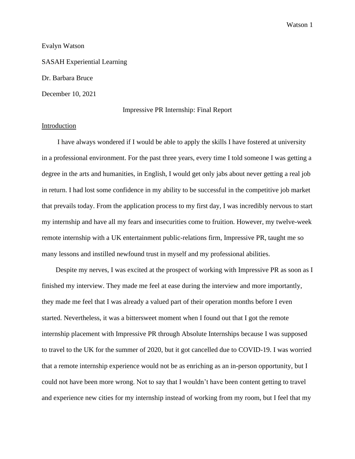#### Evalyn Watson

SASAH Experiential Learning Dr. Barbara Bruce

December 10, 2021

#### Impressive PR Internship: Final Report

#### Introduction

 I have always wondered if I would be able to apply the skills I have fostered at university in a professional environment. For the past three years, every time I told someone I was getting a degree in the arts and humanities, in English, I would get only jabs about never getting a real job in return. I had lost some confidence in my ability to be successful in the competitive job market that prevails today. From the application process to my first day, I was incredibly nervous to start my internship and have all my fears and insecurities come to fruition. However, my twelve-week remote internship with a UK entertainment public-relations firm, Impressive PR, taught me so many lessons and instilled newfound trust in myself and my professional abilities.

 Despite my nerves, I was excited at the prospect of working with Impressive PR as soon as I finished my interview. They made me feel at ease during the interview and more importantly, they made me feel that I was already a valued part of their operation months before I even started. Nevertheless, it was a bittersweet moment when I found out that I got the remote internship placement with Impressive PR through Absolute Internships because I was supposed to travel to the UK for the summer of 2020, but it got cancelled due to COVID-19. I was worried that a remote internship experience would not be as enriching as an in-person opportunity, but I could not have been more wrong. Not to say that I wouldn't have been content getting to travel and experience new cities for my internship instead of working from my room, but I feel that my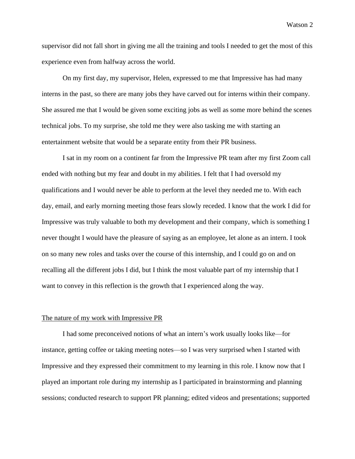supervisor did not fall short in giving me all the training and tools I needed to get the most of this experience even from halfway across the world.

On my first day, my supervisor, Helen, expressed to me that Impressive has had many interns in the past, so there are many jobs they have carved out for interns within their company. She assured me that I would be given some exciting jobs as well as some more behind the scenes technical jobs. To my surprise, she told me they were also tasking me with starting an entertainment website that would be a separate entity from their PR business.

I sat in my room on a continent far from the Impressive PR team after my first Zoom call ended with nothing but my fear and doubt in my abilities. I felt that I had oversold my qualifications and I would never be able to perform at the level they needed me to. With each day, email, and early morning meeting those fears slowly receded. I know that the work I did for Impressive was truly valuable to both my development and their company, which is something I never thought I would have the pleasure of saying as an employee, let alone as an intern. I took on so many new roles and tasks over the course of this internship, and I could go on and on recalling all the different jobs I did, but I think the most valuable part of my internship that I want to convey in this reflection is the growth that I experienced along the way.

#### The nature of my work with Impressive PR

I had some preconceived notions of what an intern's work usually looks like—for instance, getting coffee or taking meeting notes—so I was very surprised when I started with Impressive and they expressed their commitment to my learning in this role. I know now that I played an important role during my internship as I participated in brainstorming and planning sessions; conducted research to support PR planning; edited videos and presentations; supported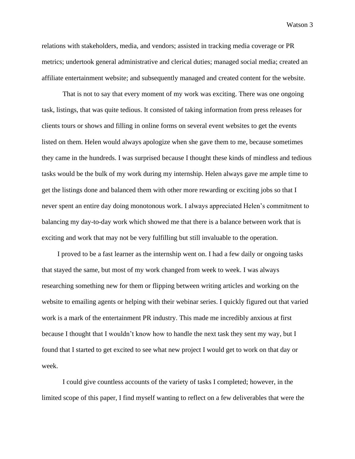relations with stakeholders, media, and vendors; assisted in tracking media coverage or PR metrics; undertook general administrative and clerical duties; managed social media; created an affiliate entertainment website; and subsequently managed and created content for the website.

That is not to say that every moment of my work was exciting. There was one ongoing task, listings, that was quite tedious. It consisted of taking information from press releases for clients tours or shows and filling in online forms on several event websites to get the events listed on them. Helen would always apologize when she gave them to me, because sometimes they came in the hundreds. I was surprised because I thought these kinds of mindless and tedious tasks would be the bulk of my work during my internship. Helen always gave me ample time to get the listings done and balanced them with other more rewarding or exciting jobs so that I never spent an entire day doing monotonous work. I always appreciated Helen's commitment to balancing my day-to-day work which showed me that there is a balance between work that is exciting and work that may not be very fulfilling but still invaluable to the operation.

 I proved to be a fast learner as the internship went on. I had a few daily or ongoing tasks that stayed the same, but most of my work changed from week to week. I was always researching something new for them or flipping between writing articles and working on the website to emailing agents or helping with their webinar series. I quickly figured out that varied work is a mark of the entertainment PR industry. This made me incredibly anxious at first because I thought that I wouldn't know how to handle the next task they sent my way, but I found that I started to get excited to see what new project I would get to work on that day or week.

I could give countless accounts of the variety of tasks I completed; however, in the limited scope of this paper, I find myself wanting to reflect on a few deliverables that were the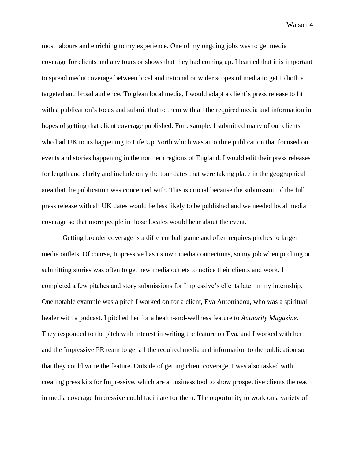most labours and enriching to my experience. One of my ongoing jobs was to get media coverage for clients and any tours or shows that they had coming up. I learned that it is important to spread media coverage between local and national or wider scopes of media to get to both a targeted and broad audience. To glean local media, I would adapt a client's press release to fit with a publication's focus and submit that to them with all the required media and information in hopes of getting that client coverage published. For example, I submitted many of our clients who had UK tours happening to Life Up North which was an online publication that focused on events and stories happening in the northern regions of England. I would edit their press releases for length and clarity and include only the tour dates that were taking place in the geographical area that the publication was concerned with. This is crucial because the submission of the full press release with all UK dates would be less likely to be published and we needed local media coverage so that more people in those locales would hear about the event.

Getting broader coverage is a different ball game and often requires pitches to larger media outlets. Of course, Impressive has its own media connections, so my job when pitching or submitting stories was often to get new media outlets to notice their clients and work. I completed a few pitches and story submissions for Impressive's clients later in my internship. One notable example was a pitch I worked on for a client, Eva Antoniadou, who was a spiritual healer with a podcast. I pitched her for a health-and-wellness feature to *Authority Magazine*. They responded to the pitch with interest in writing the feature on Eva, and I worked with her and the Impressive PR team to get all the required media and information to the publication so that they could write the feature. Outside of getting client coverage, I was also tasked with creating press kits for Impressive, which are a business tool to show prospective clients the reach in media coverage Impressive could facilitate for them. The opportunity to work on a variety of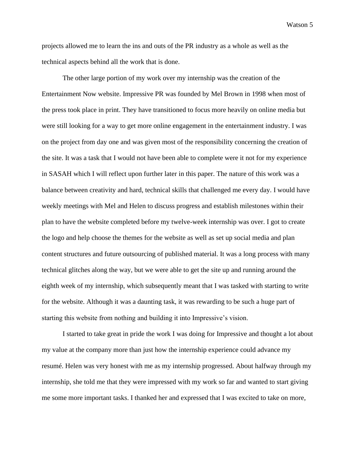projects allowed me to learn the ins and outs of the PR industry as a whole as well as the technical aspects behind all the work that is done.

The other large portion of my work over my internship was the creation of the Entertainment Now website. Impressive PR was founded by Mel Brown in 1998 when most of the press took place in print. They have transitioned to focus more heavily on online media but were still looking for a way to get more online engagement in the entertainment industry. I was on the project from day one and was given most of the responsibility concerning the creation of the site. It was a task that I would not have been able to complete were it not for my experience in SASAH which I will reflect upon further later in this paper. The nature of this work was a balance between creativity and hard, technical skills that challenged me every day. I would have weekly meetings with Mel and Helen to discuss progress and establish milestones within their plan to have the website completed before my twelve-week internship was over. I got to create the logo and help choose the themes for the website as well as set up social media and plan content structures and future outsourcing of published material. It was a long process with many technical glitches along the way, but we were able to get the site up and running around the eighth week of my internship, which subsequently meant that I was tasked with starting to write for the website. Although it was a daunting task, it was rewarding to be such a huge part of starting this website from nothing and building it into Impressive's vision.

I started to take great in pride the work I was doing for Impressive and thought a lot about my value at the company more than just how the internship experience could advance my resumé. Helen was very honest with me as my internship progressed. About halfway through my internship, she told me that they were impressed with my work so far and wanted to start giving me some more important tasks. I thanked her and expressed that I was excited to take on more,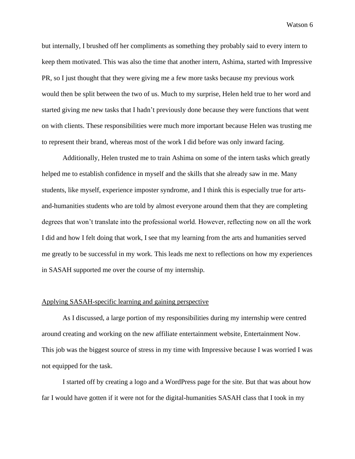but internally, I brushed off her compliments as something they probably said to every intern to keep them motivated. This was also the time that another intern, Ashima, started with Impressive PR, so I just thought that they were giving me a few more tasks because my previous work would then be split between the two of us. Much to my surprise, Helen held true to her word and started giving me new tasks that I hadn't previously done because they were functions that went on with clients. These responsibilities were much more important because Helen was trusting me to represent their brand, whereas most of the work I did before was only inward facing.

Additionally, Helen trusted me to train Ashima on some of the intern tasks which greatly helped me to establish confidence in myself and the skills that she already saw in me. Many students, like myself, experience imposter syndrome, and I think this is especially true for artsand-humanities students who are told by almost everyone around them that they are completing degrees that won't translate into the professional world. However, reflecting now on all the work I did and how I felt doing that work, I see that my learning from the arts and humanities served me greatly to be successful in my work. This leads me next to reflections on how my experiences in SASAH supported me over the course of my internship.

#### Applying SASAH-specific learning and gaining perspective

As I discussed, a large portion of my responsibilities during my internship were centred around creating and working on the new affiliate entertainment website, Entertainment Now. This job was the biggest source of stress in my time with Impressive because I was worried I was not equipped for the task.

I started off by creating a logo and a WordPress page for the site. But that was about how far I would have gotten if it were not for the digital-humanities SASAH class that I took in my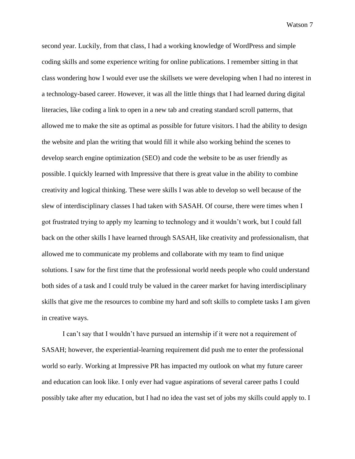second year. Luckily, from that class, I had a working knowledge of WordPress and simple coding skills and some experience writing for online publications. I remember sitting in that class wondering how I would ever use the skillsets we were developing when I had no interest in a technology-based career. However, it was all the little things that I had learned during digital literacies, like coding a link to open in a new tab and creating standard scroll patterns, that allowed me to make the site as optimal as possible for future visitors. I had the ability to design the website and plan the writing that would fill it while also working behind the scenes to develop search engine optimization (SEO) and code the website to be as user friendly as possible. I quickly learned with Impressive that there is great value in the ability to combine creativity and logical thinking. These were skills I was able to develop so well because of the slew of interdisciplinary classes I had taken with SASAH. Of course, there were times when I got frustrated trying to apply my learning to technology and it wouldn't work, but I could fall back on the other skills I have learned through SASAH, like creativity and professionalism, that allowed me to communicate my problems and collaborate with my team to find unique solutions. I saw for the first time that the professional world needs people who could understand both sides of a task and I could truly be valued in the career market for having interdisciplinary skills that give me the resources to combine my hard and soft skills to complete tasks I am given in creative ways.

I can't say that I wouldn't have pursued an internship if it were not a requirement of SASAH; however, the experiential-learning requirement did push me to enter the professional world so early. Working at Impressive PR has impacted my outlook on what my future career and education can look like. I only ever had vague aspirations of several career paths I could possibly take after my education, but I had no idea the vast set of jobs my skills could apply to. I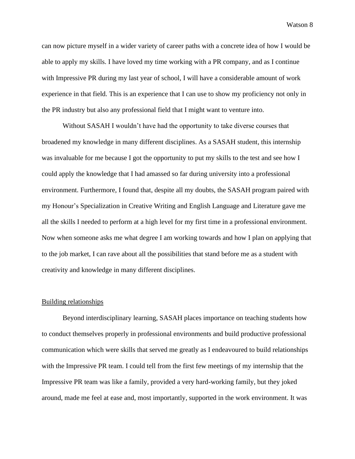can now picture myself in a wider variety of career paths with a concrete idea of how I would be able to apply my skills. I have loved my time working with a PR company, and as I continue with Impressive PR during my last year of school, I will have a considerable amount of work experience in that field. This is an experience that I can use to show my proficiency not only in the PR industry but also any professional field that I might want to venture into.

Without SASAH I wouldn't have had the opportunity to take diverse courses that broadened my knowledge in many different disciplines. As a SASAH student, this internship was invaluable for me because I got the opportunity to put my skills to the test and see how I could apply the knowledge that I had amassed so far during university into a professional environment. Furthermore, I found that, despite all my doubts, the SASAH program paired with my Honour's Specialization in Creative Writing and English Language and Literature gave me all the skills I needed to perform at a high level for my first time in a professional environment. Now when someone asks me what degree I am working towards and how I plan on applying that to the job market, I can rave about all the possibilities that stand before me as a student with creativity and knowledge in many different disciplines.

#### Building relationships

Beyond interdisciplinary learning, SASAH places importance on teaching students how to conduct themselves properly in professional environments and build productive professional communication which were skills that served me greatly as I endeavoured to build relationships with the Impressive PR team. I could tell from the first few meetings of my internship that the Impressive PR team was like a family, provided a very hard-working family, but they joked around, made me feel at ease and, most importantly, supported in the work environment. It was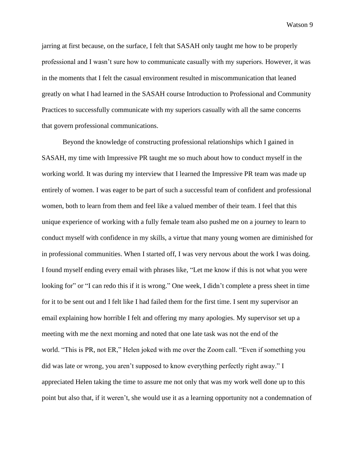jarring at first because, on the surface, I felt that SASAH only taught me how to be properly professional and I wasn't sure how to communicate casually with my superiors. However, it was in the moments that I felt the casual environment resulted in miscommunication that leaned greatly on what I had learned in the SASAH course Introduction to Professional and Community Practices to successfully communicate with my superiors casually with all the same concerns that govern professional communications.

Beyond the knowledge of constructing professional relationships which I gained in SASAH, my time with Impressive PR taught me so much about how to conduct myself in the working world. It was during my interview that I learned the Impressive PR team was made up entirely of women. I was eager to be part of such a successful team of confident and professional women, both to learn from them and feel like a valued member of their team. I feel that this unique experience of working with a fully female team also pushed me on a journey to learn to conduct myself with confidence in my skills, a virtue that many young women are diminished for in professional communities. When I started off, I was very nervous about the work I was doing. I found myself ending every email with phrases like, "Let me know if this is not what you were looking for" or "I can redo this if it is wrong." One week, I didn't complete a press sheet in time for it to be sent out and I felt like I had failed them for the first time. I sent my supervisor an email explaining how horrible I felt and offering my many apologies. My supervisor set up a meeting with me the next morning and noted that one late task was not the end of the world. "This is PR, not ER," Helen joked with me over the Zoom call. "Even if something you did was late or wrong, you aren't supposed to know everything perfectly right away." I appreciated Helen taking the time to assure me not only that was my work well done up to this point but also that, if it weren't, she would use it as a learning opportunity not a condemnation of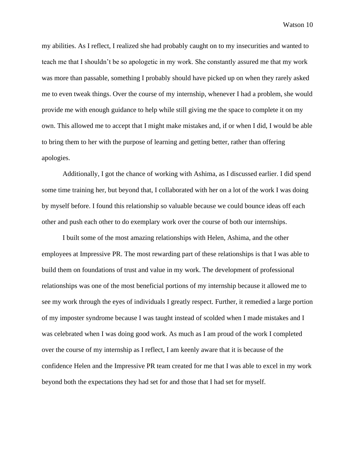my abilities. As I reflect, I realized she had probably caught on to my insecurities and wanted to teach me that I shouldn't be so apologetic in my work. She constantly assured me that my work was more than passable, something I probably should have picked up on when they rarely asked me to even tweak things. Over the course of my internship, whenever I had a problem, she would provide me with enough guidance to help while still giving me the space to complete it on my own. This allowed me to accept that I might make mistakes and, if or when I did, I would be able to bring them to her with the purpose of learning and getting better, rather than offering apologies.

Additionally, I got the chance of working with Ashima, as I discussed earlier. I did spend some time training her, but beyond that, I collaborated with her on a lot of the work I was doing by myself before. I found this relationship so valuable because we could bounce ideas off each other and push each other to do exemplary work over the course of both our internships.

I built some of the most amazing relationships with Helen, Ashima, and the other employees at Impressive PR. The most rewarding part of these relationships is that I was able to build them on foundations of trust and value in my work. The development of professional relationships was one of the most beneficial portions of my internship because it allowed me to see my work through the eyes of individuals I greatly respect. Further, it remedied a large portion of my imposter syndrome because I was taught instead of scolded when I made mistakes and I was celebrated when I was doing good work. As much as I am proud of the work I completed over the course of my internship as I reflect, I am keenly aware that it is because of the confidence Helen and the Impressive PR team created for me that I was able to excel in my work beyond both the expectations they had set for and those that I had set for myself.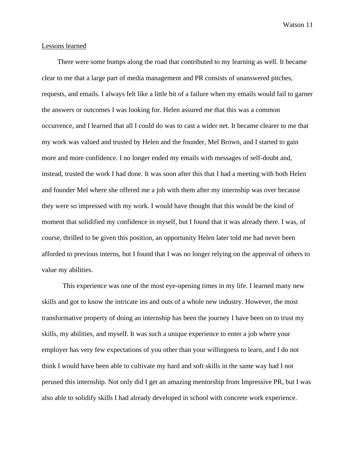#### Lessons learned

 There were some bumps along the road that contributed to my learning as well. It became clear to me that a large part of media management and PR consists of unanswered pitches, requests, and emails. I always felt like a little bit of a failure when my emails would fail to garner the answers or outcomes I was looking for. Helen assured me that this was a common occurrence, and I learned that all I could do was to cast a wider net. It became clearer to me that my work was valued and trusted by Helen and the founder, Mel Brown, and I started to gain more and more confidence. I no longer ended my emails with messages of self-doubt and, instead, trusted the work I had done. It was soon after this that I had a meeting with both Helen and founder Mel where she offered me a job with them after my internship was over because they were so impressed with my work. I would have thought that this would be the kind of moment that solidified my confidence in myself, but I found that it was already there. I was, of course, thrilled to be given this position, an opportunity Helen later told me had never been afforded to previous interns, but I found that I was no longer relying on the approval of others to value my abilities.

This experience was one of the most eye-opening times in my life. I learned many new skills and got to know the intricate ins and outs of a whole new industry. However, the most transformative property of doing an internship has been the journey I have been on to trust my skills, my abilities, and myself. It was such a unique experience to enter a job where your employer has very few expectations of you other than your willingness to learn, and I do not think I would have been able to cultivate my hard and soft skills in the same way had I not perused this internship. Not only did I get an amazing mentorship from Impressive PR, but I was also able to solidify skills I had already developed in school with concrete work experience.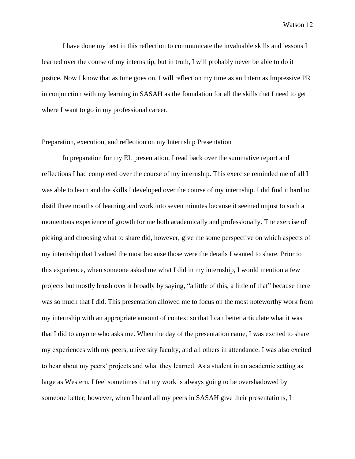I have done my best in this reflection to communicate the invaluable skills and lessons I learned over the course of my internship, but in truth, I will probably never be able to do it justice. Now I know that as time goes on, I will reflect on my time as an Intern as Impressive PR in conjunction with my learning in SASAH as the foundation for all the skills that I need to get where I want to go in my professional career.

#### Preparation, execution, and reflection on my Internship Presentation

In preparation for my EL presentation, I read back over the summative report and reflections I had completed over the course of my internship. This exercise reminded me of all I was able to learn and the skills I developed over the course of my internship. I did find it hard to distil three months of learning and work into seven minutes because it seemed unjust to such a momentous experience of growth for me both academically and professionally. The exercise of picking and choosing what to share did, however, give me some perspective on which aspects of my internship that I valued the most because those were the details I wanted to share. Prior to this experience, when someone asked me what I did in my internship, I would mention a few projects but mostly brush over it broadly by saying, "a little of this, a little of that" because there was so much that I did. This presentation allowed me to focus on the most noteworthy work from my internship with an appropriate amount of context so that I can better articulate what it was that I did to anyone who asks me. When the day of the presentation came, I was excited to share my experiences with my peers, university faculty, and all others in attendance. I was also excited to hear about my peers' projects and what they learned. As a student in an academic setting as large as Western, I feel sometimes that my work is always going to be overshadowed by someone better; however, when I heard all my peers in SASAH give their presentations, I